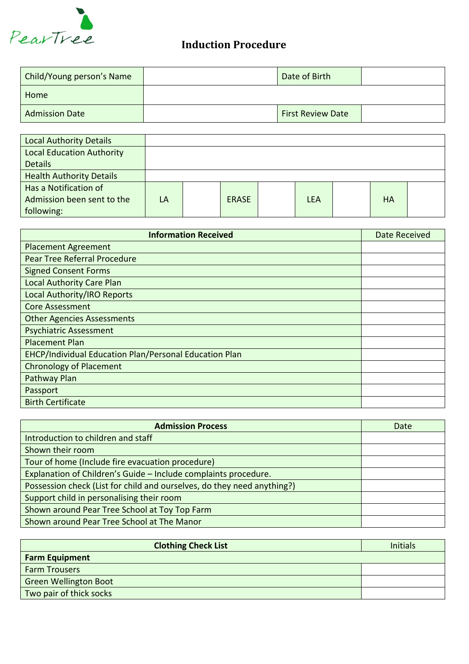

## **Induction Procedure**

| Child/Young person's Name | Date of Birth            |  |
|---------------------------|--------------------------|--|
| Home                      |                          |  |
| <b>Admission Date</b>     | <b>First Review Date</b> |  |

| <b>Local Authority Details</b>   |    |              |            |           |  |
|----------------------------------|----|--------------|------------|-----------|--|
| <b>Local Education Authority</b> |    |              |            |           |  |
| <b>Details</b>                   |    |              |            |           |  |
| <b>Health Authority Details</b>  |    |              |            |           |  |
| Has a Notification of            |    |              |            |           |  |
| Admission been sent to the       | LA | <b>ERASE</b> | <b>LEA</b> | <b>HA</b> |  |
| following:                       |    |              |            |           |  |

| <b>Information Received</b>                            | <b>Date Received</b> |
|--------------------------------------------------------|----------------------|
| <b>Placement Agreement</b>                             |                      |
| <b>Pear Tree Referral Procedure</b>                    |                      |
| <b>Signed Consent Forms</b>                            |                      |
| <b>Local Authority Care Plan</b>                       |                      |
| Local Authority/IRO Reports                            |                      |
| <b>Core Assessment</b>                                 |                      |
| <b>Other Agencies Assessments</b>                      |                      |
| <b>Psychiatric Assessment</b>                          |                      |
| <b>Placement Plan</b>                                  |                      |
| EHCP/Individual Education Plan/Personal Education Plan |                      |
| <b>Chronology of Placement</b>                         |                      |
| Pathway Plan                                           |                      |
| Passport                                               |                      |
| <b>Birth Certificate</b>                               |                      |

| <b>Admission Process</b>                                                | Date |
|-------------------------------------------------------------------------|------|
| Introduction to children and staff                                      |      |
| Shown their room                                                        |      |
| Tour of home (Include fire evacuation procedure)                        |      |
| Explanation of Children's Guide - Include complaints procedure.         |      |
| Possession check (List for child and ourselves, do they need anything?) |      |
| Support child in personalising their room                               |      |
| Shown around Pear Tree School at Toy Top Farm                           |      |
| Shown around Pear Tree School at The Manor                              |      |